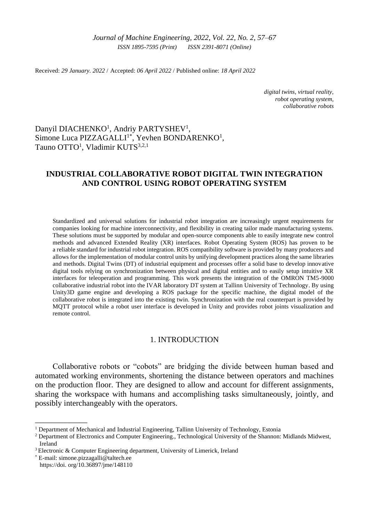Received: *29 January. 2022* / Accepted: *06 April 2022* / Published online: *18 April 2022*

*digital twins, virtual reality, robot operating system, collaborative robots*

# Danyil DIACHENKO<sup>1</sup>, Andriy PARTYSHEV<sup>1</sup>, Simone Luca PIZZAGALLI<sup>1\*</sup>, Yevhen BONDARENKO<sup>1</sup>, Tauno OTTO<sup>1</sup>, Vladimir KUTS<sup>3,2,1</sup>

# **INDUSTRIAL COLLABORATIVE ROBOT DIGITAL TWIN INTEGRATION AND CONTROL USING ROBOT OPERATING SYSTEM**

Standardized and universal solutions for industrial robot integration are increasingly urgent requirements for companies looking for machine interconnectivity, and flexibility in creating tailor made manufacturing systems. These solutions must be supported by modular and open-source components able to easily integrate new control methods and advanced Extended Reality (XR) interfaces. Robot Operating System (ROS) has proven to be a reliable standard for industrial robot integration. ROS compatibility software is provided by many producers and allows for the implementation of modular control units by unifying development practices along the same libraries and methods. Digital Twins (DT) of industrial equipment and processes offer a solid base to develop innovative digital tools relying on synchronization between physical and digital entities and to easily setup intuitive XR interfaces for teleoperation and programming. This work presents the integration of the OMRON TM5-9000 collaborative industrial robot into the IVAR laboratory DT system at Tallinn University of Technology. By using Unity3D game engine and developing a ROS package for the specific machine, the digital model of the collaborative robot is integrated into the existing twin. Synchronization with the real counterpart is provided by MQTT protocol while a robot user interface is developed in Unity and provides robot joints visualization and remote control.

## 1. INTRODUCTION

Collaborative robots or "cobots" are bridging the divide between human based and automated working environments, shortening the distance between operators and machines on the production floor. They are designed to allow and account for different assignments, sharing the workspace with humans and accomplishing tasks simultaneously, jointly, and possibly interchangeably with the operators.

\_\_\_\_\_\_\_\_\_\_\_\_\_

<sup>&</sup>lt;sup>1</sup> Department of Mechanical and Industrial Engineering, Tallinn University of Technology, Estonia

<sup>&</sup>lt;sup>2</sup> Department of Electronics and Computer Engineering., Technological University of the Shannon: Midlands Midwest, Ireland

<sup>3</sup>Electronic & Computer Engineering department, University of Limerick, Ireland

<sup>\*</sup> E-mail: simone.pizzagalli@taltech.ee https://doi. org/10.36897/jme/148110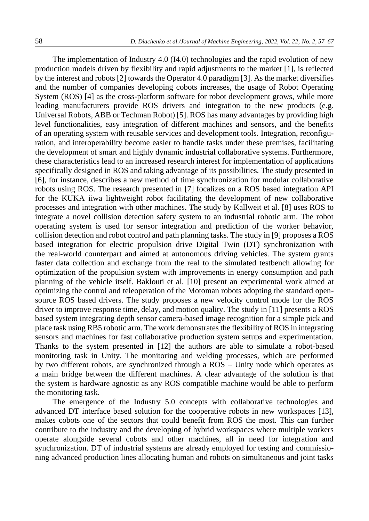The implementation of Industry 4.0 (I4.0) technologies and the rapid evolution of new production models driven by flexibility and rapid adjustments to the market [1], is reflected by the interest and robots [2] towards the Operator 4.0 paradigm [3]. As the market diversifies and the number of companies developing cobots increases, the usage of Robot Operating System (ROS) [4] as the cross-platform software for robot development grows, while more leading manufacturers provide ROS drivers and integration to the new products (e.g. Universal Robots, ABB or Techman Robot) [5]. ROS has many advantages by providing high level functionalities, easy integration of different machines and sensors, and the benefits of an operating system with reusable services and development tools. Integration, reconfiguration, and interoperability become easier to handle tasks under these premises, facilitating the development of smart and highly dynamic industrial collaborative systems. Furthermore, these characteristics lead to an increased research interest for implementation of applications specifically designed in ROS and taking advantage of its possibilities. The study presented in [6], for instance, describes a new method of time synchronization for modular collaborative robots using ROS. The research presented in [7] focalizes on a ROS based integration API for the KUKA iiwa lightweight robot facilitating the development of new collaborative processes and integration with other machines. The study by Kallweit et al. [8] uses ROS to integrate a novel collision detection safety system to an industrial robotic arm. The robot operating system is used for sensor integration and prediction of the worker behavior, collision detection and robot control and path planning tasks. The study in [9] proposes a ROS based integration for electric propulsion drive Digital Twin (DT) synchronization with the real-world counterpart and aimed at autonomous driving vehicles. The system grants faster data collection and exchange from the real to the simulated testbench allowing for optimization of the propulsion system with improvements in energy consumption and path planning of the vehicle itself. Baklouti et al. [10] present an experimental work aimed at optimizing the control and teleoperation of the Motoman robots adopting the standard opensource ROS based drivers. The study proposes a new velocity control mode for the ROS driver to improve response time, delay, and motion quality. The study in [11] presents a ROS based system integrating depth sensor camera-based image recognition for a simple pick and place task using RB5 robotic arm. The work demonstrates the flexibility of ROS in integrating sensors and machines for fast collaborative production system setups and experimentation. Thanks to the system presented in [12] the authors are able to simulate a robot-based monitoring task in Unity. The monitoring and welding processes, which are performed by two different robots, are synchronized through a ROS – Unity node which operates as a main bridge between the different machines. A clear advantage of the solution is that the system is hardware agnostic as any ROS compatible machine would be able to perform the monitoring task.

The emergence of the Industry 5.0 concepts with collaborative technologies and advanced DT interface based solution for the cooperative robots in new workspaces [13], makes cobots one of the sectors that could benefit from ROS the most. This can further contribute to the industry and the developing of hybrid workspaces where multiple workers operate alongside several cobots and other machines, all in need for integration and synchronization. DT of industrial systems are already employed for testing and commissioning advanced production lines allocating human and robots on simultaneous and joint tasks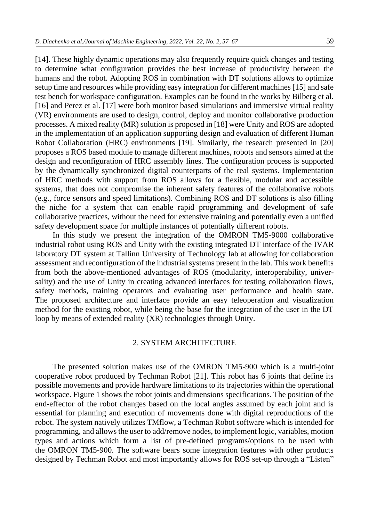[14]. These highly dynamic operations may also frequently require quick changes and testing to determine what configuration provides the best increase of productivity between the humans and the robot. Adopting ROS in combination with DT solutions allows to optimize setup time and resources while providing easy integration for different machines [15] and safe test bench for workspace configuration. Examples can be found in the works by Bilberg et al. [16] and Perez et al. [17] were both monitor based simulations and immersive virtual reality (VR) environments are used to design, control, deploy and monitor collaborative production processes. A mixed reality (MR) solution is proposed in [18] were Unity and ROS are adopted in the implementation of an application supporting design and evaluation of different Human Robot Collaboration (HRC) environments [19]. Similarly, the research presented in [20] proposes a ROS based module to manage different machines, robots and sensors aimed at the design and reconfiguration of HRC assembly lines. The configuration process is supported by the dynamically synchronized digital counterparts of the real systems. Implementation of HRC methods with support from ROS allows for a flexible, modular and accessible systems, that does not compromise the inherent safety features of the collaborative robots (e.g., force sensors and speed limitations). Combining ROS and DT solutions is also filling the niche for a system that can enable rapid programming and development of safe collaborative practices, without the need for extensive training and potentially even a unified safety development space for multiple instances of potentially different robots.

In this study we present the integration of the OMRON TM5-9000 collaborative industrial robot using ROS and Unity with the existing integrated DT interface of the IVAR laboratory DT system at Tallinn University of Technology lab at allowing for collaboration assessment and reconfiguration of the industrial systems present in the lab. This work benefits from both the above-mentioned advantages of ROS (modularity, interoperability, universality) and the use of Unity in creating advanced interfaces for testing collaboration flows, safety methods, training operators and evaluating user performance and health state. The proposed architecture and interface provide an easy teleoperation and visualization method for the existing robot, while being the base for the integration of the user in the DT loop by means of extended reality (XR) technologies through Unity.

## 2. SYSTEM ARCHITECTURE

The presented solution makes use of the OMRON TM5-900 which is a multi-joint cooperative robot produced by Techman Robot [21]. This robot has 6 joints that define its possible movements and provide hardware limitations to its trajectories within the operational workspace. Figure 1 shows the robot joints and dimensions specifications. The position of the end-effector of the robot changes based on the local angles assumed by each joint and is essential for planning and execution of movements done with digital reproductions of the robot. The system natively utilizes TMflow, a Techman Robot software which is intended for programming, and allows the user to add/remove nodes, to implement logic, variables, motion types and actions which form a list of pre-defined programs/options to be used with the OMRON TM5-900. The software bears some integration features with other products designed by Techman Robot and most importantly allows for ROS set-up through a "Listen"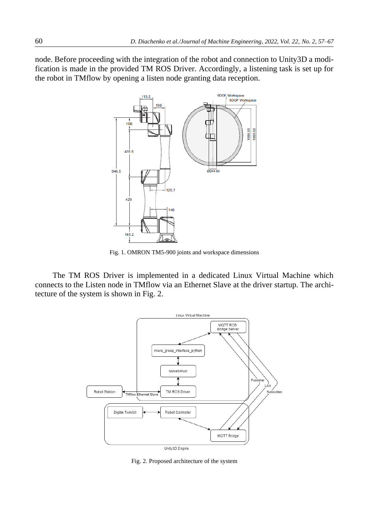node. Before proceeding with the integration of the robot and connection to Unity3D a modification is made in the provided TM ROS Driver. Accordingly, a listening task is set up for the robot in TMflow by opening a listen node granting data reception.



Fig. 1. OMRON TM5-900 joints and workspace dimensions

The TM ROS Driver is implemented in a dedicated Linux Virtual Machine which connects to the Listen node in TMflow via an Ethernet Slave at the driver startup. The architecture of the system is shown in Fig. 2.



Fig. 2. Proposed architecture of the system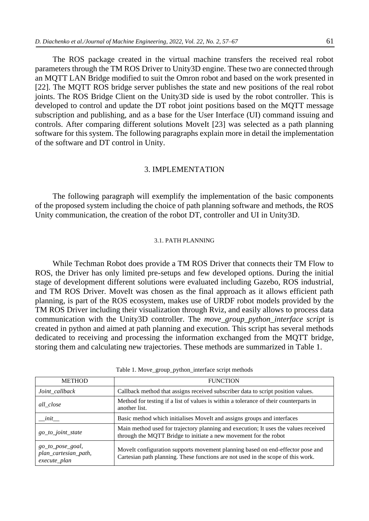The ROS package created in the virtual machine transfers the received real robot parameters through the TM ROS Driver to Unity3D engine. These two are connected through an MQTT LAN Bridge modified to suit the Omron robot and based on the work presented in [22]. The MQTT ROS bridge server publishes the state and new positions of the real robot joints. The ROS Bridge Client on the Unity3D side is used by the robot controller. This is developed to control and update the DT robot joint positions based on the MQTT message subscription and publishing, and as a base for the User Interface (UI) command issuing and controls. After comparing different solutions MoveIt [23] was selected as a path planning software for this system. The following paragraphs explain more in detail the implementation of the software and DT control in Unity.

### 3. IMPLEMENTATION

The following paragraph will exemplify the implementation of the basic components of the proposed system including the choice of path planning software and methods, the ROS Unity communication, the creation of the robot DT, controller and UI in Unity3D.

### 3.1. PATH PLANNING

While Techman Robot does provide a TM ROS Driver that connects their TM Flow to ROS, the Driver has only limited pre-setups and few developed options. During the initial stage of development different solutions were evaluated including Gazebo, ROS industrial, and TM ROS Driver. MoveIt was chosen as the final approach as it allows efficient path planning, is part of the ROS ecosystem, makes use of URDF robot models provided by the TM ROS Driver including their visualization through Rviz, and easily allows to process data communication with the Unity3D controller. The *move\_group\_python\_interface script* is created in python and aimed at path planning and execution. This script has several methods dedicated to receiving and processing the information exchanged from the MQTT bridge, storing them and calculating new trajectories. These methods are summarized in Table 1.

| <b>METHOD</b>                                            | <b>FUNCTION</b>                                                                                                                                                    |
|----------------------------------------------------------|--------------------------------------------------------------------------------------------------------------------------------------------------------------------|
| Joint_callback                                           | Callback method that assigns received subscriber data to script position values.                                                                                   |
| all_close                                                | Method for testing if a list of values is within a tolerance of their counterparts in<br>another list.                                                             |
| init                                                     | Basic method which initialises MoveIt and assigns groups and interfaces                                                                                            |
| go_to_joint_state                                        | Main method used for trajectory planning and execution; It uses the values received<br>through the MQTT Bridge to initiate a new movement for the robot            |
| go_to_pose_goal,<br>plan_cartesian_path,<br>execute_plan | MoveIt configuration supports movement planning based on end-effector pose and<br>Cartesian path planning. These functions are not used in the scope of this work. |

Table 1. Move\_group\_python\_interface script methods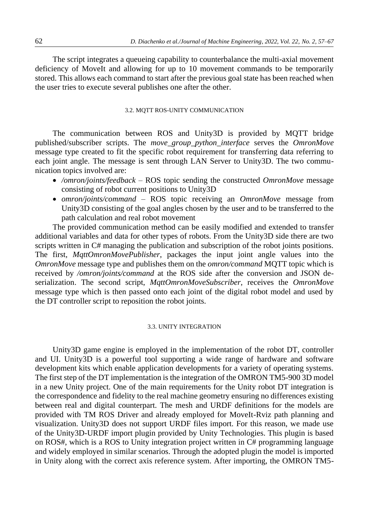The script integrates a queueing capability to counterbalance the multi-axial movement deficiency of MoveIt and allowing for up to 10 movement commands to be temporarily stored. This allows each command to start after the previous goal state has been reached when the user tries to execute several publishes one after the other.

### 3.2. MQTT ROS-UNITY COMMUNICATION

The communication between ROS and Unity3D is provided by MQTT bridge published/subscriber scripts. The *move\_group\_python\_interface* serves the *OmronMove*  message type created to fit the specific robot requirement for transferring data referring to each joint angle. The message is sent through LAN Server to Unity3D. The two communication topics involved are:

- */omron/joints/feedback* ROS topic sending the constructed *OmronMove* message consisting of robot current positions to Unity3D
- *omron/joints/command* ROS topic receiving an *OmronMove* message from Unity3D consisting of the goal angles chosen by the user and to be transferred to the path calculation and real robot movement

The provided communication method can be easily modified and extended to transfer additional variables and data for other types of robots. From the Unity3D side there are two scripts written in C# managing the publication and subscription of the robot joints positions. The first, *MqttOmronMovePublisher*, packages the input joint angle values into the *OmronMove* message type and publishes them on the *omron/command* MQTT topic which is received by */omron/joints/command* at the ROS side after the conversion and JSON deserialization. The second script, *MqttOmronMoveSubscriber*, receives the *OmronMove* message type which is then passed onto each joint of the digital robot model and used by the DT controller script to reposition the robot joints.

#### 3.3. UNITY INTEGRATION

Unity3D game engine is employed in the implementation of the robot DT, controller and UI. Unity3D is a powerful tool supporting a wide range of hardware and software development kits which enable application developments for a variety of operating systems. The first step of the DT implementation is the integration of the OMRON TM5-900 3D model in a new Unity project. One of the main requirements for the Unity robot DT integration is the correspondence and fidelity to the real machine geometry ensuring no differences existing between real and digital counterpart. The mesh and URDF definitions for the models are provided with TM ROS Driver and already employed for MoveIt-Rviz path planning and visualization. Unity3D does not support URDF files import. For this reason, we made use of the Unity3D-URDF import plugin provided by Unity Technologies. This plugin is based on ROS#, which is a ROS to Unity integration project written in C# programming language and widely employed in similar scenarios. Through the adopted plugin the model is imported in Unity along with the correct axis reference system. After importing, the OMRON TM5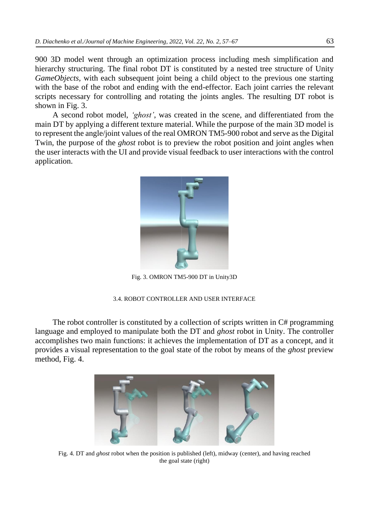900 3D model went through an optimization process including mesh simplification and hierarchy structuring. The final robot DT is constituted by a nested tree structure of Unity *GameObjects,* with each subsequent joint being a child object to the previous one starting with the base of the robot and ending with the end-effector. Each joint carries the relevant scripts necessary for controlling and rotating the joints angles. The resulting DT robot is shown in Fig. 3.

A second robot model, *'ghost'*, was created in the scene, and differentiated from the main DT by applying a different texture material. While the purpose of the main 3D model is to represent the angle/joint values of the real OMRON TM5-900 robot and serve as the Digital Twin, the purpose of the *ghost* robot is to preview the robot position and joint angles when the user interacts with the UI and provide visual feedback to user interactions with the control application.



Fig. 3. OMRON TM5-900 DT in Unity3D

### 3.4. ROBOT CONTROLLER AND USER INTERFACE

The robot controller is constituted by a collection of scripts written in  $C#$  programming language and employed to manipulate both the DT and *ghost* robot in Unity. The controller accomplishes two main functions: it achieves the implementation of DT as a concept, and it provides a visual representation to the goal state of the robot by means of the *ghost* preview method, Fig. 4.



Fig. 4. DT and *ghost* robot when the position is published (left), midway (center), and having reached the goal state (right)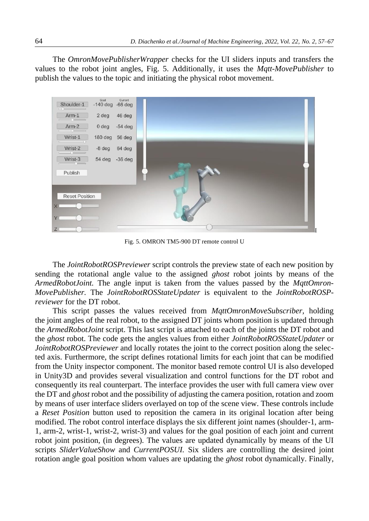The *OmronMovePublisherWrapper* checks for the UI sliders inputs and transfers the values to the robot joint angles, Fig. 5. Additionally, it uses the *Mqtt-MovePublisher* to publish the values to the topic and initiating the physical robot movement.



Fig. 5. OMRON TM5-900 DT remote control U

The *JointRobotROSPreviewer* script controls the preview state of each new position by sending the rotational angle value to the assigned *ghost* robot joints by means of the *ArmedRobotJoint.* The angle input is taken from the values passed by the *MqttOmron-MovePublisher.* The *JointRobotROSStateUpdater* is equivalent to the *JointRobotROSPreviewer* for the DT robot.

This script passes the values received from *MqttOmronMoveSubscriber,* holding the joint angles of the real robot, to the assigned DT joints whom position is updated through the *ArmedRobotJoint* script. This last script is attached to each of the joints the DT robot and the *ghost* robot. The code gets the angles values from either *JointRobotROSStateUpdater* or *JointRobotROSPreviewer* and locally rotates the joint to the correct position along the selected axis. Furthermore, the script defines rotational limits for each joint that can be modified from the Unity inspector component. The monitor based remote control UI is also developed in Unity3D and provides several visualization and control functions for the DT robot and consequently its real counterpart. The interface provides the user with full camera view over the DT and *ghost* robot and the possibility of adjusting the camera position, rotation and zoom by means of user interface sliders overlayed on top of the scene view. These controls include a *Reset Position* button used to reposition the camera in its original location after being modified. The robot control interface displays the six different joint names (shoulder-1, arm-1, arm-2, wrist-1, wrist-2, wrist-3) and values for the goal position of each joint and current robot joint position, (in degrees). The values are updated dynamically by means of the UI scripts *SliderValueShow* and *CurrentPOSUI.* Six sliders are controlling the desired joint rotation angle goal position whom values are updating the *ghost* robot dynamically. Finally,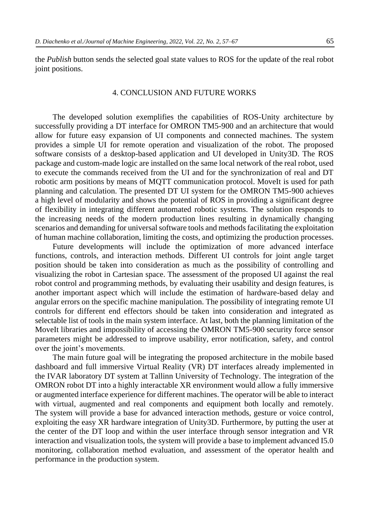the *Publish* button sends the selected goal state values to ROS for the update of the real robot joint positions.

## 4. CONCLUSION AND FUTURE WORKS

The developed solution exemplifies the capabilities of ROS-Unity architecture by successfully providing a DT interface for OMRON TM5-900 and an architecture that would allow for future easy expansion of UI components and connected machines. The system provides a simple UI for remote operation and visualization of the robot. The proposed software consists of a desktop-based application and UI developed in Unity3D. The ROS package and custom-made logic are installed on the same local network of the real robot, used to execute the commands received from the UI and for the synchronization of real and DT robotic arm positions by means of MQTT communication protocol. MoveIt is used for path planning and calculation. The presented DT UI system for the OMRON TM5-900 achieves a high level of modularity and shows the potential of ROS in providing a significant degree of flexibility in integrating different automated robotic systems. The solution responds to the increasing needs of the modern production lines resulting in dynamically changing scenarios and demanding for universal software tools and methods facilitating the exploitation of human machine collaboration, limiting the costs, and optimizing the production processes.

Future developments will include the optimization of more advanced interface functions, controls, and interaction methods. Different UI controls for joint angle target position should be taken into consideration as much as the possibility of controlling and visualizing the robot in Cartesian space. The assessment of the proposed UI against the real robot control and programming methods, by evaluating their usability and design features, is another important aspect which will include the estimation of hardware-based delay and angular errors on the specific machine manipulation. The possibility of integrating remote UI controls for different end effectors should be taken into consideration and integrated as selectable list of tools in the main system interface. At last, both the planning limitation of the MoveIt libraries and impossibility of accessing the OMRON TM5-900 security force sensor parameters might be addressed to improve usability, error notification, safety, and control over the joint's movements.

The main future goal will be integrating the proposed architecture in the mobile based dashboard and full immersive Virtual Reality (VR) DT interfaces already implemented in the IVAR laboratory DT system at Tallinn University of Technology. The integration of the OMRON robot DT into a highly interactable XR environment would allow a fully immersive or augmented interface experience for different machines. The operator will be able to interact with virtual, augmented and real components and equipment both locally and remotely. The system will provide a base for advanced interaction methods, gesture or voice control, exploiting the easy XR hardware integration of Unity3D. Furthermore, by putting the user at the center of the DT loop and within the user interface through sensor integration and VR interaction and visualization tools, the system will provide a base to implement advanced I5.0 monitoring, collaboration method evaluation, and assessment of the operator health and performance in the production system.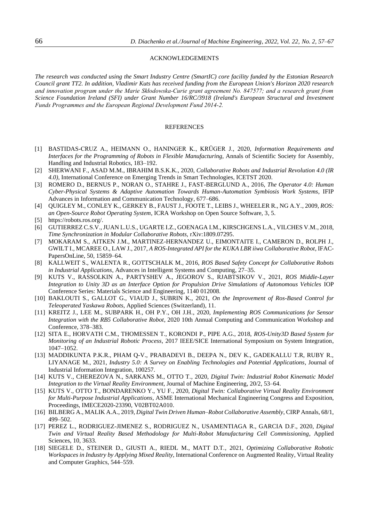#### ACKNOWLEDGEMENTS

*The research was conducted using the Smart Industry Centre (SmartIC) core facility funded by the Estonian Research Council grant TT2. In addition, Vladimir Kuts has received funding from the European Union's Horizon 2020 research and innovation program under the Marie Skłodowska‐Curie grant agreement No. 847577; and a research grant from Science Foundation Ireland (SFI) under Grant Number 16/RC/3918 (Ireland's European Structural and Investment Funds Programmes and the European Regional Development Fund 2014‐2.*

#### **REFERENCES**

- [1] BASTIDAS-CRUZ A., HEIMANN O., HANINGER K., KRÜGER J., 2020, *Information Requirements and Interfaces for the Programming of Robots in Flexible Manufacturing,* Annals of Scientific Society for Assembly, Handling and Industrial Robotics, 183–192.
- [2] SHERWANI F., ASAD M.M., IBRAHIM B.S.K.K., 2020, *Collaborative Robots and Industrial Revolution 4.0 (IR 4.0)*, International Conference on Emerging Trends in Smart Technologies, ICETST 2020.
- [3] ROMERO D., BERNUS P., NORAN O., STAHRE J., FAST-BERGLUND A., 2016, *The Operator 4.0: Human Cyber-Physical Systems & Adaptive Automation Towards Human-Automation Symbiosis Work Systems*, IFIP Advances in Information and Communication Technology, 677–686.
- [4] QUIGLEY M., CONLEY K., GERKEY B., FAUST J., FOOTE T., LEIBS J., WHEELER R., NG A.Y., 2009, *ROS: an Open-Source Robot Operating System*, ICRA Workshop on Open Source Software, 3, 5.
- [5] https://robots.ros.org/.
- [6] GUTIERREZ C.S.V., JUAN L.U.S., UGARTE I.Z., GOENAGA I.M., KIRSCHGENS L.A., VILCHES V.M., 2018, *Time Synchronization in Modular Collaborative Robots,* rXiv:1809.07295.
- [7] MOKARAM S., AITKEN J.M., MARTINEZ-HERNANDEZ U., EIMONTAITE I., CAMERON D., ROLPH J., GWILT I., MCAREE O., LAW J., 2017, *A ROS-Integrated API for the KUKA LBR iiwa Collaborative Robot*, IFAC-PapersOnLine, 50, 15859–64.
- [8] KALLWEIT S., WALENTA R., GOTTSCHALK M., 2016, *ROS Based Safety Concept for Collaborative Robots in Industrial Applications*, Advances in Intelligent Systems and Computing, 27–35.
- [9] KUTS V., RASSOLKIN A., PARTYSHEV A., JEGOROV S., RJABTSIKOV V., 2021, *ROS Middle-Layer Integration to Unity 3D as an Interface Option for Propulsion Drive Simulations of Autonomous Vehicles* IOP Conference Series: Materials Science and Engineering, 1140 012008.
- [10] BAKLOUTI S., GALLOT G., VIAUD J., SUBRIN K., 2021, *On the Improvement of Ros-Based Control for Teleoperated Yaskawa Robots*, Applied Sciences (Switzerland), 11.
- [11] KREITZ J., LEE M., SUBPARK H., OH P.Y., OH J.H., 2020, *Implementing ROS Communications for Sensor Integration with the RB5 Collaborative Robot*, 2020 10th Annual Computing and Communication Workshop and Conference, 378–383.
- [12] SITA E., HORVATH C.M., THOMESSEN T., KORONDI P., PIPE A.G., 2018, *ROS-Unity3D Based System for Monitoring of an Industrial Robotic Process*, 2017 IEEE/SICE International Symposium on System Integration, 1047–1052.
- [13] MADDIKUNTA P.K.R., PHAM Q-V., PRABADEVI B., DEEPA N., DEV K., GADEKALLU T.R, RUBY R., LIYANAGE M., 2021, *Industry 5.0: A Survey on Enabling Technologies and Potential Applications*, Journal of Industrial Information Integration, 100257.
- [14] KUTS V., CHEREZOVA N., SARKANS M., OTTO T., 2020, *Digital Twin: Industrial Robot Kinematic Model Integration to the Virtual Reality Environment*, Journal of Machine Engineering, 20/2, 53–64.
- [15] KUTS V., OTTO T., BONDARENKO Y., YU F., 2020, *Digital Twin: Collaborative Virtual Reality Environment for Multi-Purpose Industrial Applications*, ASME International Mechanical Engineering Congress and Exposition, Proceedings, IMECE2020-23390, V02BT02A010.
- [16] BILBERG A., MALIK A.A., 2019, *Digital Twin Driven Human–Robot Collaborative Assembly*, CIRP Annals, 68/1, 499–502.
- [17] PEREZ L., RODRIGUEZ-JIMENEZ S., RODRIGUEZ N., USAMENTIAGA R., GARCIA D.F., 2020, *Digital Twin and Virtual Reality Based Methodology for Multi-Robot Manufacturing Cell Commissioning*, Applied Sciences, 10, 3633.
- [18] SIEGELE D., STEINER D., GIUSTI A., RIEDL M., MATT D.T., 2021, *Optimizing Collaborative Robotic Workspaces in Industry by Applying Mixed Reality*, International Conference on Augmented Reality, Virtual Reality and Computer Graphics*,* 544–559.